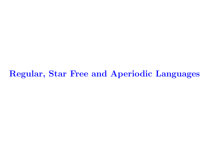Regular, Star Free and Aperiodic Languages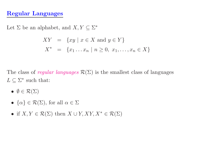# Regular Languages

Let  $\Sigma$  be an alphabet, and  $X, Y \subseteq \Sigma^*$ 

$$
XY = \{xy \mid x \in X \text{ and } y \in Y\}
$$
  

$$
X^* = \{x_1 \dots x_n \mid n \ge 0, x_1, \dots, x_n \in X\}
$$

The class of regular languages  $\mathcal{R}(\Sigma)$  is the smallest class of languages  $L \subseteq \Sigma^*$  such that:

- $\bullet\ \emptyset\in\mathcal{R}(\Sigma)$
- $\{\alpha\} \in \mathcal{R}(\Sigma)$ , for all  $\alpha \in \Sigma$
- if  $X, Y \in \mathcal{R}(\Sigma)$  then  $X \cup Y, XY, X^* \in \mathcal{R}(\Sigma)$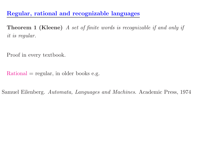Regular, rational and recognizable languages

Theorem <sup>1</sup> (Kleene) A set of finite words is recognizable if and only if it is regular.

Proof in every textbook.

 $Rational = regular$ , in older books e.g.

Samuel Eilenberg. Automata, Languages and Machines. Academic Press, 1974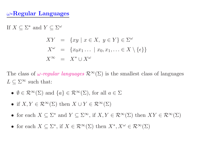# $\omega$ -Regular Languages

If  $X \subseteq \Sigma^*$  and  $Y \subseteq \Sigma^\omega$ 

$$
XY = \{xy \mid x \in X, y \in Y\} \in \Sigma^{\omega}
$$
  

$$
X^{\omega} = \{x_0x_1 \dots \mid x_0, x_1, \dots \in X \setminus \{\epsilon\}\}
$$
  

$$
X^{\infty} = X^* \cup X^{\omega}
$$

The class of  $\omega$ -regular languages  $\mathcal{R}^{\infty}(\Sigma)$  is the smallest class of languages  $L \subset \Sigma^{\infty}$  such that:

- $\emptyset \in \mathcal{R}^{\infty}(\Sigma)$  and  $\{a\} \in \mathcal{R}^{\infty}(\Sigma)$ , for all  $a \in \Sigma$
- if  $X, Y \in \mathcal{R}^{\infty}(\Sigma)$  then  $X \cup Y \in \mathcal{R}^{\infty}(\Sigma)$
- for each  $X \subseteq \Sigma^*$  and  $Y \subseteq \Sigma^{\infty}$ , if  $X, Y \in \mathcal{R}^{\infty}(\Sigma)$  then  $XY \in \mathcal{R}^{\infty}(\Sigma)$
- for each  $X \subseteq \Sigma^*$ , if  $X \in \mathcal{R}^{\infty}(\Sigma)$  then  $X^*, X^{\omega} \in \mathcal{R}^{\infty}(\Sigma)$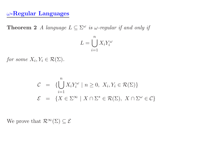### <sup>ω</sup>-Regular Languages

**Theorem 2** A language  $L \subseteq \Sigma^\omega$  is  $\omega$ -regular if and only if

$$
L = \bigcup_{i=1}^{n} X_i Y_i^{\omega}
$$

for some  $X_i, Y_i \in \mathcal{R}(\Sigma)$ .

$$
C = \{ \bigcup_{i=1}^{n} X_i Y_i^{\omega} \mid n \ge 0, X_i, Y_i \in \mathcal{R}(\Sigma) \}
$$
  

$$
\mathcal{E} = \{ X \in \Sigma^{\infty} \mid X \cap \Sigma^* \in \mathcal{R}(\Sigma), X \cap \Sigma^{\omega} \in \mathcal{C} \}
$$

We prove that  $\mathcal{R}^{\infty}(\Sigma) \subseteq \mathcal{E}$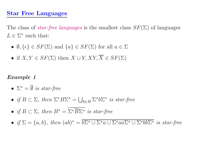## Star Free Languages

The class of *star-free languages* is the smallest class  $SF(\Sigma)$  of languages  $L \in \Sigma^*$  such that:

- $\emptyset, \{\epsilon\} \in SF(\Sigma)$  and  $\{a\} \in SF(\Sigma)$  for all  $a \in \Sigma$
- if  $X, Y \in SF(\Sigma)$  then  $X \cup Y, XY, \overline{X} \in SF(\Sigma)$

#### Example 1

- $\Sigma^* = \overline{\emptyset}$  is star-free
- if  $B \subset \Sigma$ , then  $\Sigma^* B \Sigma^* = \bigcup_{b \in B} \Sigma^* b \Sigma^*$  is star-free
- if  $B \subset \Sigma$ , then  $B^* = \Sigma^* \overline{B} \Sigma^*$  is star-free
- if  $\Sigma = \{a, b\}$ , then  $(ab)^* = \overline{b\Sigma^* \cup \Sigma^* a \cup \Sigma^* a a \Sigma^* \cup \Sigma^* b b \Sigma^*}$  is star-free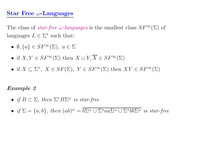#### Star Free  $\omega$ -Languages

The class of *star-free*  $\omega$ -languages is the smallest class  $SF^{\infty}(\Sigma)$  of languages  $L \in \Sigma^*$  such that:

- $\bullet \hspace{0.1cm} \emptyset, \{a\} \in SF^{\infty}(\Sigma), \hspace{0.1cm} a \in \Sigma$
- if  $X, Y \in SF^{\infty}(\Sigma)$  then  $X \cup Y, \overline{X} \in SF^{\infty}(\Sigma)$
- if  $X \subseteq \Sigma^*$ ,  $X \in SF(\Sigma)$ ,  $Y \in SF^{\infty}(\Sigma)$  then  $XY \in SF^{\infty}(\Sigma)$

#### Example 2

- if  $B \subset \Sigma$ , then  $\Sigma^* B \Sigma^\omega$  is star-free
- if  $\Sigma = \{a, b\}$ , then  $(ab)^{\omega} = \overline{b\Sigma^{\omega} \cup \Sigma^* aa \Sigma^{\omega} \cup \Sigma^* bb \Sigma^{\omega}}$  is star-free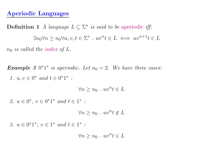#### Aperiodic Languages

**Definition 1** A language  $L \subseteq \Sigma^*$  is said to be aperiodic iff:  $\exists n_0 \forall n \geq n_0 \forall u, v, t \in \Sigma^*$  .  $uv$  ${}^{n}t \in L \iff uv^{n+1}t \in L$  $n_0$  is called the index of  $L$ .

**Example 3**  $0^*1^*$  is aperiodic. Let  $n_0 = 2$ . We have three cases: 1.  $u, v \in 0^*$  and  $t \in 0^*1^*$  :

> $\forall n \geq n_0 \ . \ uv$  $n_t \in L$

2.  $u \in 0^*, v \in 0^*1^*$  and  $t \in 1^*$ :

$$
\forall n \ge n_0 \; . \; uv^n t \notin L
$$

3.  $u \in 0^*1^*, v \in 1^*$  and  $t \in 1^*$ :

 $\forall n \geq n_0 \ . \ uv$  $n_t \in L$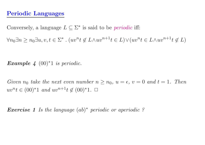## Periodic Languages

Conversely, a language  $L \subseteq \Sigma^*$  is said to be *periodic* iff:

 $\forall n_0 \exists n \geq n_0 \exists u, v, t \in \Sigma^*$ .  $(uv^n t \notin L \wedge uv^{n+1} t \in L) \vee (uv^n t \in L \wedge uv^{n+1} t \notin L)$ 

Example 4  $(00)^*1$  is periodic.

Given  $n_0$  take the next even number  $n \geq n_0$ ,  $u = \epsilon$ ,  $v = 0$  and  $t = 1$ . Then  $uv<sup>n</sup>t ∈ (00)<sup>*</sup>1 and uv<sup>n+1</sup>t ∉ (00)<sup>*</sup>1. □$ 

**Exercise 1** Is the language  $(ab)^*$  periodic or aperiodic ?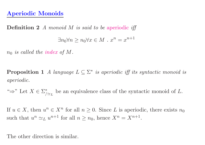## Aperiodic Monoids

**Definition 2** A monoid M is said to be aperiodic iff  $\exists n_0 \forall n \geq n_0 \forall x \in M$ .  $x^n = x^{n+1}$ 

 $n_0$  is called the index of M.

**Proposition 1** A language  $L \subseteq \Sigma^*$  is aperiodic iff its syntactic monoid is aperiodic.

" $\Rightarrow$ " Let  $X \in \Sigma_{\alpha}^*$  be an equivalence class of the syntactic monoid of L.

If  $u \in X$ , then  $u^n \in X^n$  for all  $n \geq 0$ . Since L is aperiodic, there exists  $n_0$ such that  $u^n \simeq_L u^{n+1}$  for all  $n \geq n_0$ , hence  $X^n = X^{n+1}$ .

The other direction is similar.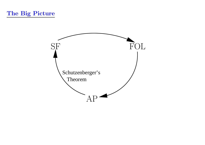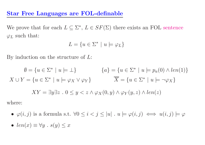### Star Free Languages are FOL-definable

We prove that for each  $L \subseteq \Sigma^*$ ,  $L \in SF(\Sigma)$  there exists an FOL sentence  $\varphi_L$  such that:

$$
L = \{ u \in \Sigma^* \mid u \models \varphi_L \}
$$

By induction on the structure of  $L$ :

$$
\emptyset = \{u \in \Sigma^* \mid u \models \bot\} \qquad \{a\} = \{u \in \Sigma^* \mid u \models p_a(0) \land len(1)\}
$$
  

$$
X \cup Y = \{u \in \Sigma^* \mid u \models \varphi_X \lor \varphi_Y\} \qquad \overline{X} = \{u \in \Sigma^* \mid u \models \neg \varphi_X\}
$$
  

$$
XY = \exists y \exists z \quad 0 \le y < z \land \varphi_X(0, y) \land \varphi_Y(y, z) \land len(z)
$$

where:

- $\varphi(i,j)$  is a formula s.t.  $\forall 0 \leq i < j \leq |u|$ .  $u \models \varphi(i,j) \iff u(i,j) \models \varphi(i,j)$
- $len(x) \equiv \forall y \; . \; s(y) \leq x$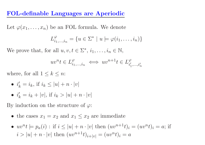### FOL-definable Languages are Aperiodic

Let  $\varphi(x_1,\ldots,x_n)$  be an FOL formula. We denote

$$
L_{i_1,\dots,i_n}^{\varphi} = \{ u \in \Sigma^* \mid u \models \varphi(i_1,\dots,i_n) \}
$$

We prove that, for all  $u, v, t \in \Sigma^*, i_1, \ldots, i_n \in \mathbb{N}$ ,

$$
uv^n t \in L_{i_1,\dots,i_n}^{\varphi} \iff uv^{n+1} t \in L_{i'_1,\dots,i'_n}^{\varphi}
$$

where, for all  $1 \leq k \leq n$ :

- $\bullet$   $i'$  $\,k$  $=i_k, \text{ if } i_k \leq |u|+n \cdot |v|$
- $\bullet$   $i'$  $\,k$  $= i_k + |v|, \text{ if } i_k > |u| + n \cdot |v|$

By induction on the structure of  $\varphi$ :

- the cases  $x_1 = x_2$  and  $x_1 \leq x_2$  are immediate
- $uv^n t \models p_a(i)$ : if  $i \leq |u| + n \cdot |v|$  then  $(uv^{n+1}t)_i = (uv^n t)_i = a$ ; if  $i > |u| + n \cdot |v|$  then  $(uv^{n+1}t)_{i+|v|} = (uv^n t)_i = a$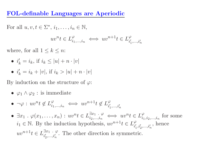### FOL-definable Languages are Aperiodic

For all  $u, v, t \in \Sigma^*, i_1, \ldots, i_n \in \mathbb{N}$ ,

$$
uv^n t \in L_{i_1,\dots,i_n}^{\varphi} \iff uv^{n+1} t \in L_{i'_1,\dots,i'_n}^{\varphi}
$$

where, for all  $1 \leq k \leq n$ :

- $\bullet$   $i'$  $\boldsymbol{k}$  $i = i_k$ , if  $i_k \leq |u| + n \cdot |v|$
- $\bullet$   $i'$  $\,k$  $= i_k + |v|, \text{ if } i_k > |u| + n \cdot |v|$

By induction on the structure of  $\varphi$ :

- $\varphi_1 \wedge \varphi_2$ : is immediate
- $\bullet \ \ \neg \varphi : uv^n t \notin L^\varphi_{i_1}$  $i_1,...,i_n$  $\iff uv^{n+1}t \notin L^{\varphi}_{i'}$  $i_1',...,i_n'$
- $\exists x_1 \cdot \varphi(x_1, \ldots, x_n) : uv^n t \in L^{\exists x_1 \cdot \varphi}_{i_2, \ldots, i_n}$  $i_2,...,i_n$  $\iff uv^n t \in L^{\varphi}_i$  $i_1, i_2,...,i_n$ for some  $i_1 \in \mathbb{N}$ . By the induction hypothesis,  $uv^{n+1}t \in L_{i'}^{\varphi}$  $i_1',i_2',\!i_n'$ , hence  $uv^{n+1}t \in L^{\exists x_1} \cdot \varphi$  $i_2',...,i_n'$ . The other direction is symmetric.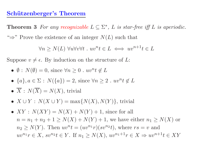#### Schützenberger's Theorem

**Theorem 3** For any recognizable  $L \subseteq \Sigma^*$ , L is star-free iff L is aperiodic. " $\Rightarrow$ " Prove the existence of an integer  $N(L)$  such that

 $\forall n \ge N(L) \ \forall u \forall v \forall t \ . \ uv^n t \in L \iff uv^{n+1} t \in L$ 

Suppose  $v \neq \epsilon$ . By induction on the structure of L:

• 
$$
\emptyset
$$
 :  $N(\emptyset) = 0$ , since  $\forall n \ge 0$  .  $uv^n t \notin L$ 

- $\{a\}, a \in \Sigma : N(\{a\}) = 2$ , since  $\forall n \geq 2$  .  $uv^n t \notin L$
- $\overline{X}$ :  $N(\overline{X}) = N(X)$ , trivial
- $X \cup Y : N(X \cup Y) = \max\{N(X), N(Y)\}\$ , trivial
- $XY: N(XY) = N(X) + N(Y) + 1$ , since for all  $n = n_1 + n_2 + 1 \ge N(X) + N(Y) + 1$ , we have either  $n_1 \ge N(X)$  or  $n_2 \geq N(Y)$ . Then  $uv^n t = (uv^{n_1}r)(sv^{n_2}t)$ , where  $rs = v$  and  $uv^{n_1}r \in X$ ,  $sv^{n_2}t \in Y$ . If  $n_1 \ge N(X)$ ,  $uv^{n_1+1}r \in X \Rightarrow uv^{n+1}t \in XY$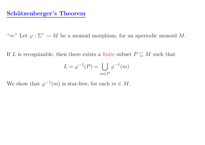"  $\Leftarrow$ " Let  $\varphi : \Sigma^* \to M$  be a monoid morphism, for an aperiodic monoid M.

If L is recognizable, then there exists a finite subset  $P \subseteq M$  such that

$$
L = \varphi^{-1}(P) = \bigcup_{m \in P} \varphi^{-1}(m)
$$

We show that  $\varphi^{-1}(m)$  is star-free, for each  $m \in M$ .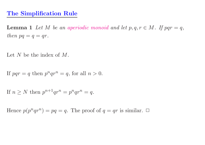#### The Simplification Rule

**Lemma 1** Let M be an aperiodic monoid and let  $p, q, r \in M$ . If  $pqr = q$ , then  $pq = q = qr$ .

Let N be the index of  $M$ .

If  $pqr = q$  then  $p^nqr^n = q$ , for all  $n > 0$ .

If  $n \geq N$  then  $p^{n+1}qr^n = p^nqr^n = q$ .

Hence  $p(p^nqr^n) = pq = q$ . The proof of  $q = qr$  is similar.  $\Box$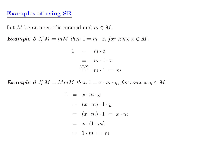#### Examples of using SR

Let M be an aperiodic monoid and  $m \in M$ .

Example 5 If  $M = mM$  then  $1 = m \cdot x$ , for some  $x \in M$ .

$$
1 = m \cdot x
$$
  
=  $m \cdot 1 \cdot x$   

$$
\stackrel{(SR)}{=} m \cdot 1 = m
$$

Example 6 If  $M = MmM$  then  $1 = x \cdot m \cdot y$ , for some  $x, y \in M$ .

$$
1 = x \cdot m \cdot y
$$
  
=  $(x \cdot m) \cdot 1 \cdot y$   
=  $(x \cdot m) \cdot 1 = x \cdot m$   
=  $x \cdot (1 \cdot m)$   
=  $1 \cdot m = m$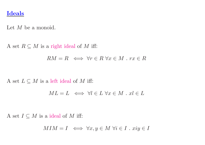#### Ideals

Let M be a monoid.

A set  $R \subseteq M$  is a right ideal of M iff:

$$
RM = R \iff \forall r \in R \,\,\forall x \in M \,.\, rx \in R
$$

A set  $L \subseteq M$  is a left ideal of M iff:

$$
ML = L \iff \forall l \in L \ \forall x \in M \ . \ xl \in L
$$

A set  $I \subseteq M$  is a ideal of M iff:

$$
MIM = I \iff \forall x, y \in M \ \forall i \in I \ . \ xiy \in I
$$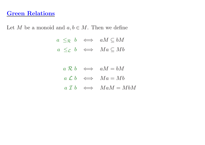#### Green Relations

Let M be a monoid and  $a, b \in M$ . Then we define

 $a \leq_{\mathcal{R}} b \iff aM \subseteq bM$  $a \leq_{\mathcal{L}} b \iff Ma \subseteq Mb$ 

|  | $a \mathcal{R} b \iff aM = bM$                      |
|--|-----------------------------------------------------|
|  | $a \mathcal{L} b \iff Ma = Mb$                      |
|  | $a \mathrel{\mathcal{I}} b \iff \text{M} aM = M bM$ |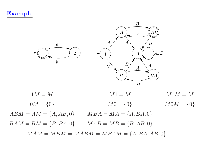Example



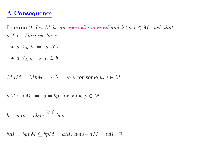## A Consequence

**Lemma 2** Let M be an aperiodic monoid and let  $a, b \in M$  such that <sup>a</sup> I b. Then we have:

- $a \leq_{\mathcal{R}} b \Rightarrow a \mathcal{R} b$
- $a \leq_{\mathcal{L}} b \Rightarrow a \mathcal{L} b$

 $M a M = M b M \Rightarrow b = u a v$ , for some  $u, v \in M$ 

 $aM \subseteq bM \Rightarrow a = bp$ , for some  $p \in M$ 

$$
b = uav = ubpv \stackrel{(SR)}{=} bpv
$$

 $bM = bpvM \subseteq bpM = aM$ , hence  $aM = bM$ .  $\Box$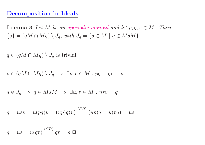## Decomposition in Ideals

**Lemma 3** Let M be an aperiodic monoid and let  $p, q, r \in M$ . Then  $\{q\} = (qM \cap Mq) \setminus J_q$ , with  $J_q = \{s \in M \mid q \notin MsM\}.$ 

 $q \in (qM \cap Mq) \setminus J_q$  is trivial.

$$
s \in (qM \cap Mq) \setminus J_q \Rightarrow \exists p, r \in M \, . \, pq = qr = s
$$

$$
s \notin J_q \implies q \in MsM \implies \exists u, v \in M \; . \; usv = q
$$

$$
q = usv = u(pq)v = (up)q(v) \stackrel{(SR)}{=} (up)q = u(pq) = us
$$

$$
q = us = u(qr) \stackrel{(SR)}{=} qr = s \square
$$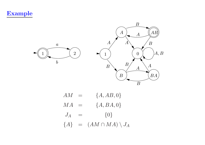Example



 $AM = \{A, AB, 0\}$  $MA = \{A, BA, 0\}$  $J_A = \{0\}$  ${A}$  =  $(AM \cap MA) \setminus J_A$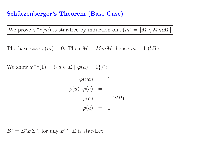We prove  $\varphi^{-1}(m)$  is star-free by induction on  $r(m) = ||M \setminus MmM||$ 

The base case  $r(m) = 0$ . Then  $M = MmM$ , hence  $m = 1$  (SR).

We show  $\varphi^{-1}(1) = (\{a \in \Sigma \mid \varphi(a) = 1\})^*$ :

$$
\varphi(ua) = 1
$$
  

$$
\varphi(u)1\varphi(a) = 1
$$
  

$$
1\varphi(a) = 1 (SR)
$$
  

$$
\varphi(a) = 1
$$

 $B^* = \Sigma^* B \Sigma^*$ , for any  $B \subseteq \Sigma$  is star-free.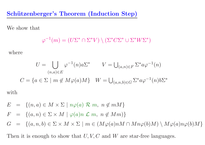Schützenberger's Theorem (Induction Step)

We show that

$$
\varphi^{-1}(m) = (U\Sigma^* \cap \Sigma^* V) \setminus (\Sigma^* C \Sigma^* \cup \Sigma^* W \Sigma^*)
$$

where

$$
U = \bigcup_{(n,a)\in E} \varphi^{-1}(n)a\Sigma^* \qquad V = \bigcup_{(a,n)\in F} \Sigma^* a\varphi^{-1}(n)
$$
  

$$
C = \{a \in \Sigma \mid m \notin M\varphi(a)M\} \quad W = \bigcup_{(a,n,b)\in G} \Sigma^* a\varphi^{-1}(n)b\Sigma^*
$$
  
with

$$
E = \{(n, a) \in M \times \Sigma \mid n\varphi(a) \mathrel{\mathcal{R}} m, n \notin mM\}
$$

$$
F = \{(a, n) \in \Sigma \times M \mid \varphi(a)n \mathcal{L} \ m, \ n \notin Mm)\}
$$

G = { $(a, n, b) \in \Sigma \times M \times \Sigma$  |  $m \in (M\varphi(a)nM \cap Mn\varphi(b)M) \setminus M\varphi(a)n\varphi(b)M$ }

Then it is enough to show that  $U, V, C$  and  $W$  are star-free languages.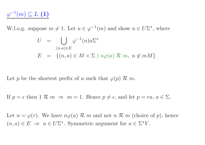$\varphi^{-1}(m) \subseteq L$  (1)

W.l.o.g. suppose  $m \neq 1$ . Let  $u \in \varphi^{-1}(m)$  and show  $u \in U\Sigma^*$ , where

$$
U = \bigcup_{(n,a)\in E} \varphi^{-1}(n)a\Sigma^*
$$
  

$$
E = \{(n,a) \in M \times \Sigma \mid n\varphi(a) \mathcal{R} \mid m, n \notin mM\}
$$

Let p be the shortest prefix of u such that  $\varphi(p) \mathcal{R}$  m.

If  $p = \epsilon$  then  $1 \mathcal{R} m \Rightarrow m = 1$ . Hence  $p \neq \epsilon$ , and let  $p = ra$ ,  $a \in \Sigma$ .

Let  $n = \varphi(r)$ . We have  $n\varphi(a)$  R m and not n R m (choice of p), hence  $(n, a) \in E \Rightarrow u \in U\Sigma^*$ . Symmetric argument for  $u \in \Sigma^* V$ .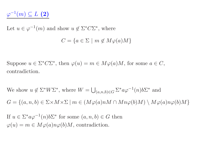$$
\varphi^{-1}(m) \subseteq L \, (2)
$$

Let  $u \in \varphi^{-1}(m)$  and show  $u \notin \Sigma^* C \Sigma^*$ , where

 $C = \{a \in \Sigma \mid m \notin M\varphi(a)M\}$ 

Suppose  $u \in \Sigma^* C \Sigma^*$ , then  $\varphi(u) = m \in M \varphi(a) M$ , for some  $a \in C$ , contradiction.

We show  $u \notin \Sigma^* W \Sigma^*$ , where  $W = \bigcup_{(a,n,b) \in G} \Sigma^* a \varphi^{-1}(n) b \Sigma^*$  and  $G = \{(a, n, b) \in \Sigma \times M \times \Sigma \mid m \in (M\varphi(a)nM \cap Mn\varphi(b)M) \setminus M\varphi(a)n\varphi(b)M\}$ 

If  $u \in \Sigma^* a \varphi^{-1}(n) b \Sigma^*$  for some  $(a, n, b) \in G$  then  $\varphi(u) = m \in M\varphi(a)n\varphi(b)M$ , contradiction.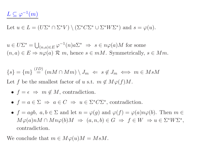Let  $u \in L = (U\Sigma^* \cap \Sigma^* V) \setminus (\Sigma^* C \Sigma^* \cup \Sigma^* W \Sigma^*)$  and  $s = \varphi(u)$ .

 $u \in U\Sigma^* = \bigcup_{(n,a) \in E} \varphi^{-1}(n)a\Sigma^* \Rightarrow s \in n\varphi(a)M$  for some  $(n, a) \in E \Rightarrow n\varphi(a) \mathcal{R}$  m, hence  $s \in mM$ . Symmetrically,  $s \in Mm$ .

$$
\{s\} = \{m\} \stackrel{(ID)}{=} (mM \cap Mm) \setminus J_m \iff s \notin J_m \iff m \in MsM
$$
  
Let  $f$  be the smallest factor of  $u$  s.t.  $m \notin M\varphi(f)M$ .

• 
$$
f = \epsilon \implies m \notin M
$$
, contradiction.

- $f = a \in \Sigma \implies a \in C \implies u \in \Sigma^* C \Sigma^*$ , contradiction.
- $f = agb, a, b \in \Sigma$  and let  $n = \varphi(g)$  and  $\varphi(f) = \varphi(a)n\varphi(b)$ . Then  $m \in$  $M\varphi(a)nM \cap Mn\varphi(b)M \Rightarrow (a, n, b) \in G \Rightarrow f \in W \Rightarrow u \in \Sigma^*W\Sigma^*,$ contradiction.

We conclude that  $m \in M\varphi(u)M = MsM$ .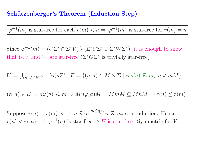## Schützenberger's Theorem (Induction Step)

 $\varphi^{-1}(m)$  is star-free for each  $r(m) < n \Rightarrow \varphi^{-1}(m)$  is star-free for  $r(m) = n$ 

Since  $\varphi^{-1}(m) = (U\Sigma^* \cap \Sigma^* V) \setminus (\Sigma^* C \Sigma^* \cup \Sigma^* W \Sigma^*)$ , it is enough to show that U, V and W are star-free  $(\Sigma^* C \Sigma^*$  is trivially star-free)

$$
U = \bigcup_{(n,a)\in E} \varphi^{-1}(n)a\Sigma^*, \ E = \{(n,a)\in M\times \Sigma \mid n\varphi(a)\mathrel{\mathcal{R}} m, \ n \notin mM\}
$$

 $(n, a) \in E \Rightarrow n\varphi(a) \mathcal{R} \mid m \Rightarrow Mn\varphi(a)M = MmM \subseteq MnM \Rightarrow r(n) \leq r(m)$ 

Suppose  $r(n) = r(m) \iff n \mathcal{I}$  $\stackrel{m \leq_{\mathcal{R}}^n}{\Longrightarrow} n \mathcal{R}$  m, contradiction. Hence  $r(n) < r(m) \Rightarrow \varphi^{-1}(n)$  is star-free  $\Rightarrow U$  is star-free. Symmetric for V.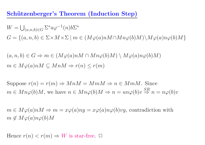Schützenberger's Theorem (Induction Step)

 $W =$  $\bigcup_{(a,n,b)\in G}\Sigma^*a\varphi^{-1}(n)b\Sigma^*$  $G = \{(a, n, b) \in \Sigma \times M \times \Sigma \mid m \in (M\varphi(a)nM \cap Mn\varphi(b)M) \setminus M\varphi(a)n\varphi(b)M\}$ 

 $(a, n, b) \in G \Rightarrow m \in (M\varphi(a)nM \cap Mn\varphi(b)M) \setminus M\varphi(a)n\varphi(b)M)$  $m \in M\varphi(a)nM \subseteq MnM \Rightarrow r(n) \leq r(m)$ 

Suppose  $r(n) = r(m) \Rightarrow MnM = MmM \Rightarrow n \in MmM$ . Since  $m \in Mn\varphi(b)M$ , we have  $n \in Mn\varphi(b)M \Rightarrow n = un\varphi(b)v$  $\overset{SR}{\Rightarrow} n = n\varphi(b)v$ 

 $m \in M\varphi(a)nM \Rightarrow m = x\varphi(a)ny = x\varphi(a)n\varphi(b)vy$ , contradiction with  $m \notin M\varphi(a)n\varphi(b)M$ 

Hence  $r(n) < r(m) \Rightarrow W$  is star-free.  $\Box$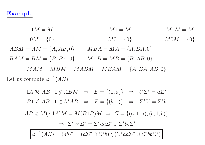### Example

 $1M = M$   $M1 = M$   $M1M = M$  $0M = \{0\}$   $M0 = \{0\}$   $M0M = \{0\}$  $ABM = AM = \{A, AB, 0\}$   $MBA = MA = \{A, BA, 0\}$  $BAM = BM = \{B, BA, 0\}$   $MAB = MB = \{B, AB, 0\}$  $MAM = MBM = MABM = MBAM = \{A, BA, AB, 0\}$ Let us compute  $\varphi^{-1}(AB)$ :

1A R AB,  $1 \notin ABM \Rightarrow E = \{(1,a)\} \Rightarrow U\Sigma^* = a\Sigma^*$ B1  $\mathcal{L} AB$ ,  $1 \notin MAB \Rightarrow F = \{(b, 1)\} \Rightarrow \Sigma^*V = \Sigma^*b$  $AB \notin M(A1A)M = M(B1B)M \Rightarrow G = \{(a, 1, a), (b, 1, b)\}\$  $\Rightarrow \Sigma^* W \Sigma^* = \Sigma^* a a \Sigma^* \cup \Sigma^* b b \Sigma^*$ 

 $\varphi^{-1}(AB) = (ab)^* = (a\Sigma^* \cap \Sigma^* b) \setminus (\Sigma^* aa \Sigma^* \cup \Sigma^* bb \Sigma^*)$